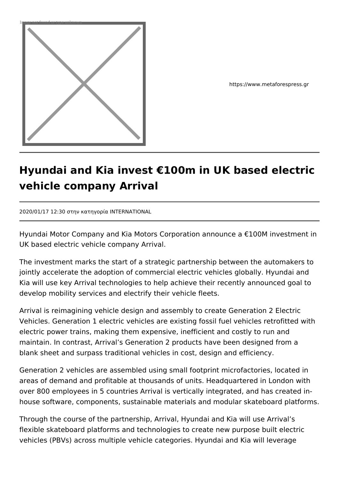

https://www.metaforespress.gr

## **Hyundai and Kia invest €100m in UK based electric vehicle company Arrival**

2020/01/17 12:30 στην κατηγορία INTERNATIONAL

Hyundai Motor Company and Kia Motors Corporation announce a €100M investment in UK based electric vehicle company Arrival.

The investment marks the start of a strategic partnership between the automakers to jointly accelerate the adoption of commercial electric vehicles globally. Hyundai and Kia will use key Arrival technologies to help achieve their recently announced goal to develop mobility services and electrify their vehicle fleets.

Arrival is reimagining vehicle design and assembly to create Generation 2 Electric Vehicles. Generation 1 electric vehicles are existing fossil fuel vehicles retrofitted with electric power trains, making them expensive, inefficient and costly to run and maintain. In contrast, Arrival's Generation 2 products have been designed from a blank sheet and surpass traditional vehicles in cost, design and efficiency.

Generation 2 vehicles are assembled using small footprint microfactories, located in areas of demand and profitable at thousands of units. Headquartered in London with over 800 employees in 5 countries Arrival is vertically integrated, and has created inhouse software, components, sustainable materials and modular skateboard platforms.

Through the course of the partnership, Arrival, Hyundai and Kia will use Arrival's flexible skateboard platforms and technologies to create new purpose built electric vehicles (PBVs) across multiple vehicle categories. Hyundai and Kia will leverage